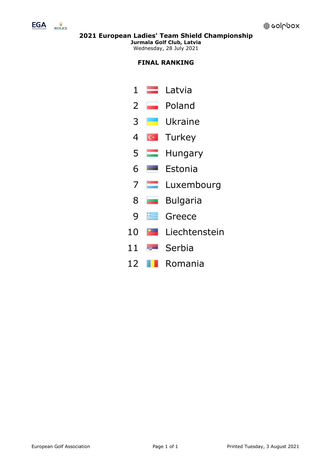

**Jurmala Golf Club, Latvia** Wednesday, 28 July 2021

# **FINAL RANKING**

- 1 Latvia
- 2 Poland
- 3 Ukraine
- 4 G Turkey
- 5 **Hungary**
- 6 Estonia
- 7 **Luxembourg**
- 8 **Bulgaria**
- 9 E Greece
- 10 **Liechtenstein**
- 11 **Serbia**
- 12 Romania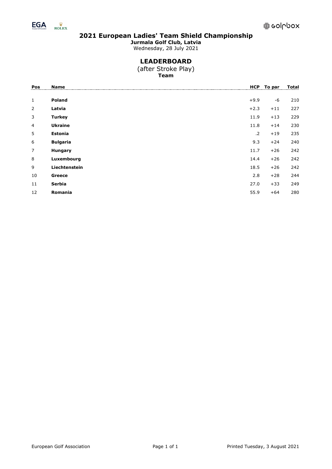

**Jurmala Golf Club, Latvia**

Wednesday, 28 July 2021

## **LEADERBOARD**

(after Stroke Play) **Team**

| Pos            | <b>Name</b>     | <b>HCP</b> | To par | Total |
|----------------|-----------------|------------|--------|-------|
|                |                 |            |        |       |
| $\mathbf{1}$   | <b>Poland</b>   | $+9.9$     | -6     | 210   |
| $\overline{2}$ | Latvia          | $+2.3$     | $+11$  | 227   |
| 3              | <b>Turkey</b>   | 11.9       | $+13$  | 229   |
| $\overline{4}$ | <b>Ukraine</b>  | 11.8       | $+14$  | 230   |
| 5              | Estonia         | $\cdot$ .2 | $+19$  | 235   |
| 6              | <b>Bulgaria</b> | 9.3        | $+24$  | 240   |
| $\overline{7}$ | Hungary         | 11.7       | $+26$  | 242   |
| 8              | Luxembourg      | 14.4       | $+26$  | 242   |
| 9              | Liechtenstein   | 18.5       | $+26$  | 242   |
| 10             | Greece          | 2.8        | $+28$  | 244   |
| 11             | Serbia          | 27.0       | $+33$  | 249   |
| 12             | Romania         | 55.9       | $+64$  | 280   |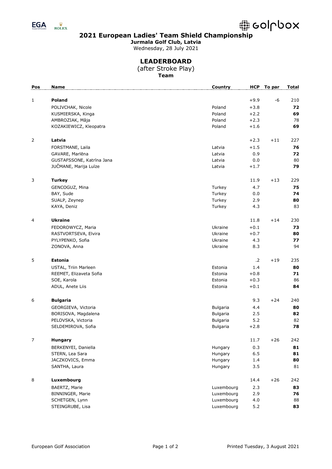

**Jurmala Golf Club, Latvia**

Wednesday, 28 July 2021

### **LEADERBOARD**

(after Stroke Play) **Team**

| Pos            | <b>Name</b>               | Country         |        | HCP To par | <b>Total</b> |
|----------------|---------------------------|-----------------|--------|------------|--------------|
| 1              | <b>Poland</b>             |                 | $+9.9$ | -6         | 210          |
|                | POLIVCHAK, Nicole         | Poland          | $+3.8$ |            | 72           |
|                | KUSMIERSKA, Kinga         | Poland          | $+2.2$ |            | 69           |
|                | AMBROZIAK, Mâja           | Poland          | $+2.3$ |            | 78           |
|                | KOZAKIEWICZ, Kleopatra    | Poland          | $+1.6$ |            | 69           |
|                |                           |                 |        |            |              |
| 2              | Latvia                    |                 | $+2.3$ | $+11$      | 227          |
|                | FORSTMANE, Laila          | Latvia          | $+1.5$ |            | 76           |
|                | GAVARE, Marlēna           | Latvia          | 0.9    |            | 72           |
|                | GUSTAFSSONE, Katrīna Jana | Latvia          | 0.0    |            | 80           |
|                | JUČMANE, Marija Luīze     | Latvia          | $+1.7$ |            | 79           |
| 3              | <b>Turkey</b>             |                 | 11.9   | $+13$      | 229          |
|                | GENCOGUZ, Mina            | Turkey          | 4.7    |            | 75           |
|                | BAY, Sude                 | Turkey          | 0.0    |            | 74           |
|                | SUALP, Zeynep             | Turkey          | 2.9    |            | 80           |
|                | KAYA, Deniz               | Turkey          | 4.3    |            | 83           |
|                |                           |                 |        |            |              |
| 4              | <b>Ukraine</b>            |                 | 11.8   | $+14$      | 230          |
|                | FEDOROWYCZ, Maria         | Ukraine         | $+0.1$ |            | 73           |
|                | RASTVORTSEVA, Elvira      | Ukraine         | $+0.7$ |            | 80           |
|                | PYLYPENKO, Sofia          | Ukraine         | 4.3    |            | 77           |
|                | ZONOVA, Anna              | Ukraine         | 8.3    |            | 94           |
| 5              | <b>Estonia</b>            |                 | .2     | $+19$      | 235          |
|                | USTAL, Triin Marleen      | Estonia         | 1.4    |            | 80           |
|                | REEMET, Elizaveta Sofia   | Estonia         | $+0.8$ |            | 71           |
|                | SOE, Karola               | Estonia         | $+0.3$ |            | 86           |
|                | ADUL, Anete Liis          | Estonia         | $+0.1$ |            | 84           |
| 6              | <b>Bulgaria</b>           |                 | 9.3    | $+24$      | 240          |
|                | GEORGIEVA, Victoria       | <b>Bulgaria</b> | 4.4    |            | 80           |
|                | BORISOVA, Magdalena       | <b>Bulgaria</b> | 2.5    |            | 82           |
|                | PELOVSKA, Victoria        | <b>Bulgaria</b> | 5.2    |            | 82           |
|                | SELDEMIROVA, Sofia        | <b>Bulgaria</b> | $+2.8$ |            | 78           |
| $\overline{7}$ |                           |                 | 11.7   | $+26$      |              |
|                | <b>Hungary</b>            |                 |        |            | 242          |
|                | BERKENYEI, Daniella       | Hungary         | 0.3    |            | 81           |
|                | STERN, Lea Sara           | Hungary         | 6.5    |            | 81           |
|                | JACZKOVICS, Emma          | Hungary         | 1.4    |            | 80           |
|                | SANTHA, Laura             | Hungary         | 3.5    |            | 81           |
| 8              | Luxembourg                |                 | 14.4   | $+26$      | 242          |
|                | BAERTZ, Marie             | Luxembourg      | 2.3    |            | 83           |
|                | BINNINGER, Marie          | Luxembourg      | 2.9    |            | 76           |
|                | SCHETGEN, Lynn            | Luxembourg      | 4.0    |            | 88           |
|                | STEINGRUBE, Lisa          | Luxembourg      | 5.2    |            | 83           |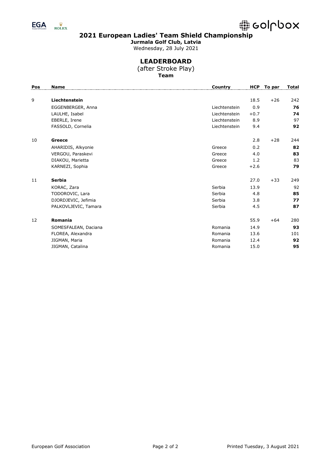

**Jurmala Golf Club, Latvia** Wednesday, 28 July 2021

## **LEADERBOARD**

(after Stroke Play) **Team**

| Pos | <b>Name</b>          | Country       |        | HCP To par | Total |
|-----|----------------------|---------------|--------|------------|-------|
|     |                      |               |        |            |       |
| 9   | Liechtenstein        |               | 18.5   | $+26$      | 242   |
|     | EGGENBERGER, Anna    | Liechtenstein | 0.9    |            | 76    |
|     | LAULHE, Isabel       | Liechtenstein | $+0.7$ |            | 74    |
|     | EBERLE, Irene        | Liechtenstein | 8.9    |            | 97    |
|     | FASSOLD, Cornelia    | Liechtenstein | 9.4    |            | 92    |
| 10  | Greece               |               | 2.8    | $+28$      | 244   |
|     | AHARIDIS, Alkyonie   | Greece        | 0.2    |            | 82    |
|     | VERGOU, Paraskevi    | Greece        | 4.0    |            | 83    |
|     | DIAKOU, Marietta     | Greece        | 1.2    |            | 83    |
|     | KARNEZI, Sophia      | Greece        | $+2.6$ |            | 79    |
| 11  | Serbia               |               | 27.0   | $+33$      | 249   |
|     | KORAC, Zara          | Serbia        | 13.9   |            | 92    |
|     | TODOROVIC, Lara      | Serbia        | 4.8    |            | 85    |
|     | DJORDJEVIC, Jefimia  | Serbia        | 3.8    |            | 77    |
|     | PALKOVLJEVIC, Tamara | Serbia        | 4.5    |            | 87    |
| 12  | Romania              |               | 55.9   | $+64$      | 280   |
|     | SOMESFALEAN, Daciana | Romania       | 14.9   |            | 93    |
|     | FLOREA, Alexandra    | Romania       | 13.6   |            | 101   |
|     | JIGMAN, Maria        | Romania       | 12.4   |            | 92    |
|     | JIGMAN, Catalina     | Romania       | 15.0   |            | 95    |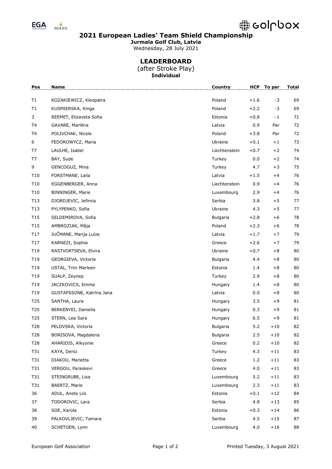

**Jurmala Golf Club, Latvia** Wednesday, 28 July 2021

# **LEADERBOARD**

(after Stroke Play) **Individual**

| Pos             | Name                      | Country         | <b>HCP</b> | To par | <b>Total</b> |
|-----------------|---------------------------|-----------------|------------|--------|--------------|
| T1              |                           | Poland          | $+1.6$     | $-3$   | 69           |
| T1              | KOZAKIEWICZ, Kleopatra    | Poland          |            | $-3$   | 69           |
|                 | KUSMIERSKA, Kinga         |                 | $+2.2$     |        |              |
| 3               | REEMET, Elizaveta Sofia   | Estonia         | $+0.8$     | $-1$   | 71           |
| T <sub>4</sub>  | GAVARE, Marlēna           | Latvia          | 0.9        | Par    | 72           |
| T4              | POLIVCHAK, Nicole         | Poland          | $+3.8$     | Par    | 72           |
| 6               | FEDOROWYCZ, Maria         | Ukraine         | $+0.1$     | $+1$   | 73           |
| T7              | LAULHE, Isabel            | Liechtenstein   | $+0.7$     | $+2$   | 74           |
| T7              | BAY, Sude                 | Turkey          | 0.0        | $+2$   | 74           |
| 9               | GENCOGUZ, Mina            | Turkey          | 4.7        | $+3$   | 75           |
| T10             | FORSTMANE, Laila          | Latvia          | $+1.5$     | $+4$   | 76           |
| T10             | EGGENBERGER, Anna         | Liechtenstein   | 0.9        | $+4$   | 76           |
| T10             | BINNINGER, Marie          | Luxembourg      | 2.9        | $+4$   | 76           |
| T13             | DJORDJEVIC, Jefimia       | Serbia          | 3.8        | $+5$   | 77           |
| T13             | PYLYPENKO, Sofia          | Ukraine         | 4.3        | $+5$   | 77           |
| T15             | SELDEMIROVA, Sofia        | Bulgaria        | $+2.8$     | $+6$   | 78           |
| T15             | AMBROZIAK, Mâja           | Poland          | $+2.3$     | $+6$   | 78           |
| T17             | JUČMANE, Marija Luīze     | Latvia          | $+1.7$     | $+7$   | 79           |
| T17             | KARNEZI, Sophia           | Greece          | $+2.6$     | $+7$   | 79           |
| T19             | RASTVORTSEVA, Elvira      | Ukraine         | $+0.7$     | $+8$   | 80           |
| T19             | GEORGIEVA, Victoria       | <b>Bulgaria</b> | 4.4        | $+8$   | 80           |
| T19             | USTAL, Triin Marleen      | Estonia         | 1.4        | $+8$   | 80           |
| T19             | SUALP, Zeynep             | Turkey          | 2.9        | $+8$   | 80           |
| T19             | JACZKOVICS, Emma          | Hungary         | 1.4        | $+8$   | 80           |
| T19             | GUSTAFSSONE, Katrīna Jana | Latvia          | 0.0        | $+8$   | 80           |
| T25             | SANTHA, Laura             | Hungary         | 3.5        | $+9$   | 81           |
| T25             | BERKENYEI, Daniella       | Hungary         | 0.3        | $+9$   | 81           |
| T <sub>25</sub> | STERN, Lea Sara           | Hungary         | $6.5$      | $+9$   | 81           |
| T28             | PELOVSKA, Victoria        | Bulgaria        | 5.2        | $+10$  | 82           |
| T28             | BORISOVA, Magdalena       | Bulgaria        | 2.5        | $+10$  | 82           |
| T28             | AHARIDIS, Alkyonie        | Greece          | 0.2        | $+10$  | 82           |
| T31             | KAYA, Deniz               | Turkey          | 4.3        | $+11$  | 83           |
| T31             | DIAKOU, Marietta          | Greece          | 1.2        | $+11$  | 83           |
| T31             | VERGOU, Paraskevi         | Greece          | 4.0        | $+11$  | 83           |
| T31             | STEINGRUBE, Lisa          | Luxembourg      | 5.2        | $+11$  | 83           |
| T31             | BAERTZ, Marie             | Luxembourg      | 2.3        | $+11$  | 83           |
| 36              | ADUL, Anete Liis          | Estonia         | $+0.1$     | $+12$  | 84           |
| 37              | TODOROVIC, Lara           | Serbia          | 4.8        | $+13$  | 85           |
| 38              | SOE, Karola               | Estonia         | $+0.3$     | $+14$  | 86           |
| 39              | PALKOVLJEVIC, Tamara      | Serbia          | 4.5        | $+15$  | 87           |
| 40              | SCHETGEN, Lynn            | Luxembourg      | 4.0        | $+16$  | 88           |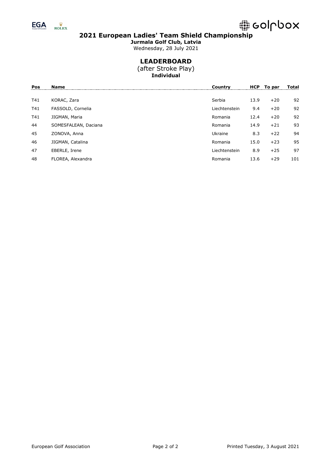



**Jurmala Golf Club, Latvia** Wednesday, 28 July 2021

### **LEADERBOARD**

(after Stroke Play) **Individual**

| Pos | Name                 | Countrv       | <b>HCP</b> | To par | Total |
|-----|----------------------|---------------|------------|--------|-------|
| T41 | KORAC, Zara          | Serbia        | 13.9       | $+20$  | 92    |
| T41 | FASSOLD, Cornelia    | Liechtenstein | 9.4        | $+20$  | 92    |
| T41 | JIGMAN, Maria        | Romania       | 12.4       | $+20$  | 92    |
| 44  | SOMESFALEAN, Daciana | Romania       | 14.9       | $+21$  | 93    |
| 45  | ZONOVA, Anna         | Ukraine       | 8.3        | $+22$  | 94    |
| 46  | JIGMAN, Catalina     | Romania       | 15.0       | $+23$  | 95    |
| 47  | EBERLE, Irene        | Liechtenstein | 8.9        | $+25$  | 97    |
| 48  | FLOREA, Alexandra    | Romania       | 13.6       | $+29$  | 101   |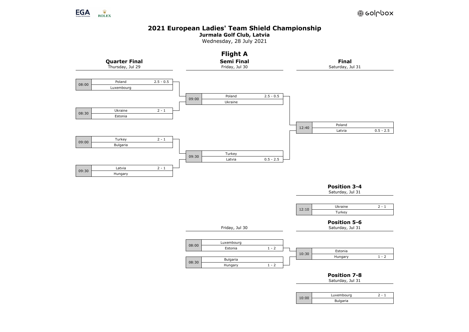

**Jurmala Golf Club, Latvia**

Wednesday, 28 July 2021

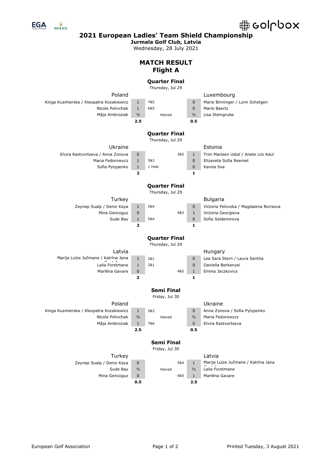

 $\frac{\ddot{W}}{ROLEX}$ 

**2021 European Ladies' Team Shield Championship**

**Jurmala Golf Club, Latvia**

Wednesday, 28 July 2021

**MATCH RESULT**

#### **Flight A Quarter Final** Thursday, Jul 29 Poland Luxembourg Kinga Kusmierska / Kleopatra Kozakiewicz 1 7&5 0 Marie Binninger / Lynn Schetgen Nicole Polivchak 1 6&5 0 Marie Baertz Mâja Ambroziak ½ Halved ½ Lisa Steingrube **2.5 0.5 Quarter Final** Thursday, Jul 29 Ukraine Estonia Elvira Rastvortseva / Anna Zonova 0 3&2 1 Triin Marleen Ustal / Anete Liis Adul Maria Fedorowycz 1 5&3 0 Elizaveta Sofia Reemet Sofia Pylypenko 1 1 Hole 0 Karola Soe **2 1 Quarter Final** Thursday, Jul 29 Turkey **Bulgaria** Zeynep Sualp / Deniz Kaya 1 5&4 0 Victoria Pelovska / Magdalena Borisova Mina Gencoguz 0 4&3 1 Victoria Georgieva Sude Bay 1 5&4 0 Sofia Seldemirova **2 1 Quarter Final** Thursday, Jul 29 Latvia **Hungary** Marija Luīze Jučmane / Katrīna Jana Laila Forstmane 1 2&1 0 Lea Sara Stern / Laura Santha 1 2&1 0 Daniella Berkenyei Marlēna Gavare 0 1 4&2 1 Emma Jaczkovics **2 1 Semi Final** Friday, Jul 30 Poland **District Contract Contract Poland** Kinga Kusmierska / Kleopatra Kozakiewicz 1 5&3 0 Anna Zonova / Sofia Pylypenko Nicole Polivchak  $\frac{1}{2}$  Halved  $\frac{1}{2}$  Maria Fedorowycz Mâja Ambroziak 1 7&6 0 Elvira Rastvortseva **2.5 0.5 Semi Final** Friday, Jul 30 Turkey Latvia

Zeynep Sualp / Deniz Kaya 0 1 5&4 1 Marija Luīze Jučmane / Katrīna Jana Sude Bay  $\frac{1}{2}$  Halved  $\frac{1}{2}$  Laila Forstmane Mina Gencoguz 0 6&5 1 Marlēna Gavare

**0.5 2.5**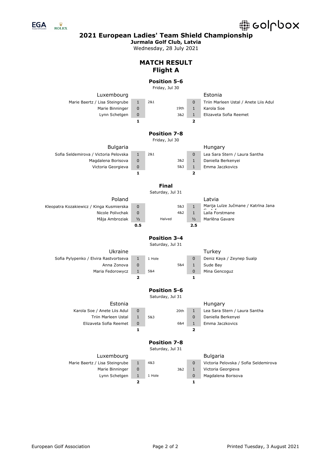

 $\frac{\ddot{W}}{ROLEX}$ 

**2021 European Ladies' Team Shield Championship**

**Jurmala Golf Club, Latvia**

Wednesday, 28 July 2021

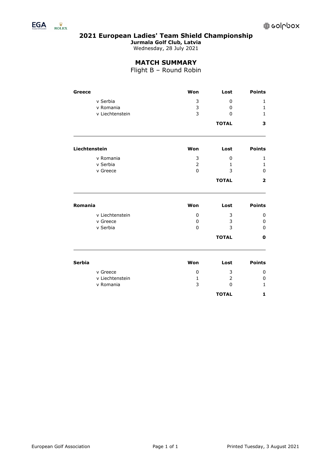

 $\frac{\ddot{W}}{\text{ROLEX}}$ 

**2021 European Ladies' Team Shield Championship**

**Jurmala Golf Club, Latvia**

Wednesday, 28 July 2021

### **MATCH SUMMARY**

Flight B – Round Robin

| Greece        |                 | Won            | Lost         | <b>Points</b>           |
|---------------|-----------------|----------------|--------------|-------------------------|
|               | v Serbia        | 3              | 0            | 1                       |
|               | v Romania       | 3              | $\mathbf{0}$ | $\mathbf{1}$            |
|               | v Liechtenstein | 3              | $\mathbf{0}$ | $\mathbf{1}$            |
|               |                 |                | <b>TOTAL</b> | 3                       |
| Liechtenstein |                 | Won            | Lost         | <b>Points</b>           |
|               | v Romania       | 3              | 0            | 1                       |
|               | v Serbia        | $\overline{2}$ | 1            | 1                       |
|               | v Greece        | $\overline{0}$ | 3            | $\mathbf 0$             |
|               |                 |                | <b>TOTAL</b> | $\overline{\mathbf{2}}$ |
| Romania       |                 | Won            | Lost         | <b>Points</b>           |
|               | v Liechtenstein | 0              | 3            | 0                       |
|               | v Greece        | 0              | 3            | 0                       |
|               | v Serbia        | $\Omega$       | 3            | $\mathbf{0}$            |
|               |                 |                | <b>TOTAL</b> | 0                       |
| <b>Serbia</b> |                 | Won            | Lost         | <b>Points</b>           |
|               |                 |                |              |                         |
|               | v Greece        | 0              | 3            | 0                       |
|               | v Liechtenstein | $\mathbf{1}$   | 2            | 0                       |
|               | v Romania       | 3              | $\mathbf{0}$ | $\mathbf{1}$            |
|               |                 |                | <b>TOTAL</b> | 1                       |